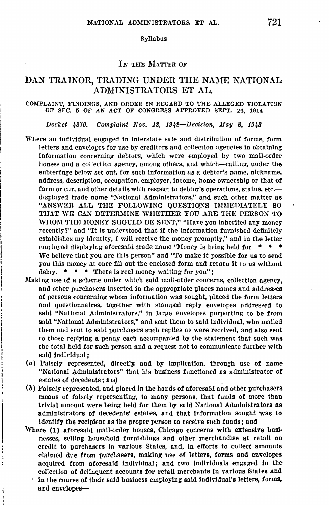#### Syllabus

# IN THE MATTER OF

# ·DAN TRAINOR, TRADING UNDER THE NAME NATIONAL ADMINISTRATORS ET AL.

#### COMPLAINT, FINDINGS, AND ORDER IN REGARD TO THE ALLEGED VIOLATION OF SEC. 5 OF AN ACT OF CONGRESS APPROVED SEPT. 26, 1914

Docket  $4870.$  Complaint Nov. 12, 1942-Decision, May 8, 1943

- Where au individual engaged in interstate sale and distribution **of** forms, form letters and envelopes for use by creditors and collection agencies in obtaining information concerning debtors, which were employed by two mail-order houses and a collection agency, among others, and which-calling, under the subterfuge below set out, for such information as a debtor's name, nickname, address, description, occupation, employer, income, home ownership or that of farm or car, and other details with respect to debtor's operations, status, etc. displayed trade name "National Administrators," and such other matter as "ANSWER ALL THE FOLLOWING QUESTIQNS IMMEDIATELY SO THAT WE CAN DETERMINE WHETHER YOU ARE THE PERSON TO WHOM THE MONEY SHOULD BE SENT," "Have you inherited any money recently?" and "It ls understood that if the information furnished definitely establishes my identity, I will receive the money promptly," and in the letter employed displaying aforesaid trade name "Money is being held for  $* * * *$ We believe that you are this person" and "To make it possible for us to send you this money at once fill out the enclosed form and return it to us without delay. • • • There ls real money waiting **for** you";
- Making use of a scheme under which said mail-order concerns, collection agency, and other purchasers inserted in the appropriate places names and addresses **of** persons concerning whom information was sought, placed the form letters and questionnaires, together with stamped reply envelopes addressed to said "National Administrators," in large envelopes purporting to be from said "National Administrators," and sent them to said individual, who malled them and sent to said purchasers such replles as were received, and also sent to those replying a penny each accompanied by the statement that such was the total held for such person and a request not to communicate further with said individual ;
- (a) Falsely represented, directly and by implication, through use of name "National Administrators" that his business functioned as administrator of estates **of** decedents; and
- (b) Falsely represented, and placed in the hands of aforesaid and other purchasers means **of** falsely representlng, to many persons, that funds of more than trivial amount were being held for them by said National Administrators as administrators of decedents' estates, and that Information sought was to identify the recipient as the proper person to receive such funds; and
- Where (1) aforesaid mall-order houses, Chicago concerns with extensive businesses, selling household furnishings and other merchandise at retail on credit to purchasers in various States, and, in efforts to collect amounts claimed due from purchasers, making use of letters, forms and envelopes acquired from aforesaid indiviclual; and two indivlduals engaged in the collection of dellnquent accounts for retail merchants in various States and

t

j

In the course of their said business employing said individual's letters, forms, and envelopes-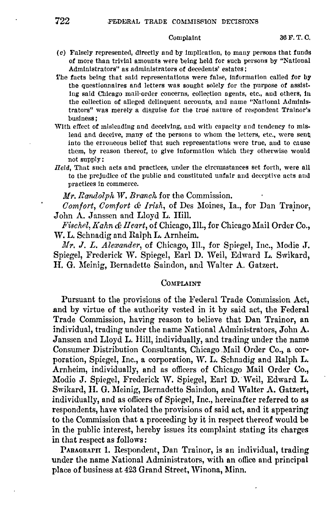# Complaint

- (c) Falsely represented, directly and by implication, to many persons that funds of more than trivial amounts were being held for such persons by "National Administrators" as administrators of decedents' estates:
- The facts being that said representations were false, information called for by the questionnaires and letters was sought solely for the purpose of assisting said Chicago mail-order concerns, collection agents, etc., and others, in the collection of alleged delinquent accounts, and name "National Administrators" was merely a disguise for the true nature of respondent Trainor's business:
- With effect of misleading and deceiving, and with capacity and tendency to mislead and deceive, many of the persons to whom the letters, etc., were sent into the erroneous belief that such representations were true, and to cause them, by reason thereof, to give information which they otherwise would not supply:
- Held, That such acts and practices, under the circumstances set forth, were all to the prejudice of the public and constituted unfair and deceptive acts and practices in commerce.

Mr. Randolph W. Branch for the Commission.

Comfort, Comfort & Irish, of Des Moines, Ia., for Dan Trainor, John A. Janssen and Lloyd L. Hill.

Fischel, Kahn & Heart, of Chicago, Ill., for Chicago Mail Order Co., W. L. Schnadig and Ralph L. Arnheim.

Mr. J. L. Alexander, of Chicago, Ill., for Spiegel, Inc., Modie J. Spiegel, Frederick W. Spiegel, Earl D. Weil, Edward L. Swikard, H. G. Meinig, Bernadette Saindon, and Walter A. Gatzert.

# COMPLAINT

Pursuant to the provisions of the Federal Trade Commission Act, and by virtue of the authority vested in it by said act, the Federal Trade Commission, having reason to believe that Dan Trainor, an individual, trading under the name National Administrators, John A. Janssen and Lloyd L. Hill, individually, and trading under the name Consumer Distribution Consultants, Chicago Mail Order Co., a corporation, Spiegel, Inc., a corporation, W. L. Schnadig and Ralph L. Arnheim, individually, and as officers of Chicago Mail Order Co., Modie J. Spiegel, Frederick W. Spiegel, Earl D. Weil, Edward L. Swikard, H. G. Meinig, Bernadette Saindon, and Walter A. Gatzert, individually, and as officers of Spiegel, Inc., hereinafter referred to as respondents, have violated the provisions of said act, and it appearing to the Commission that a proceeding by it in respect thereof would be in the public interest, hereby issues its complaint stating its charges in that respect as follows:

PARAGRAPH 1. Respondent, Dan Trainor, is an individual, trading under the name National Administrators, with an office and principal place of business at 423 Grand Street, Winona, Minn.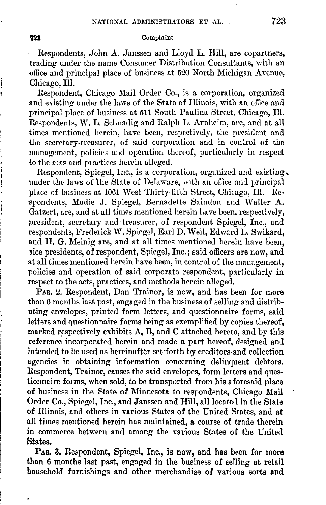### **721** Complaint

Respondents, John A. Janssen and Lloyd L. Hill, are copartners, trading under the name Consumer Distribution Consultants, with an office and principal place of business at 520 North Michigan Avenue, Chicago, Ill.

Respondent, Chicago Mail Order Co., is a corporation, organized and existing under the laws of the State of Illinois, with an office and principal place of business at 511 South Paulina Street, Chicago, Ill. Respondents, W. L. Schnadig and Ralph L. Arnheim, are, and at all times mentioned herein, have been, respectively, the president and the secretary-treasurer, of said corporation and in control of the management, policies and operation thereof, particularly in respect to the acts and practices herein alleged.

Respondent, Spiegel, Inc., is a corporation, organized and existing, under the laws of 'the State of Delaware, with an office and principal place of business at 1061 West Thirty-fifth Street, Chicago, Ill. Respondents, Modie J. Spiegel, Bernadette Saindon and Walter. A. Gatzert, are, and at all times mentioned herein have been, respectively, president, secretary and· treasurer, of respondent Spiegel, Inc., and respondents, Frederick W. Spiegel, Earl D. Weil, Edward L. Swikard, **and H. G.** Meinig are, and at all times mentioned herein have been, lice presidents, of respondent, Spiegel, Inc.; said officers are now, and at all times mentioned herein have been, in control of the management, policies and operation of said corporate respondent, particularly in respect to the acts, practices, and methods herein alleged.

PAR. 2. Respondent, Dan Trainor, is now, and has been for more than 6 months last past, engaged in the business of selling and distributing envelopes, printed form letters, and questionnaire forms, said letters and questionnaire forms being as exemplified by copies thereof, marked respectively exhibits  $\Lambda$ , B, and C attached hereto, and by this reference incorporated herein and made a part hereof, designed and intended to be used as hereinafter set forth by creditors and collection agencies in obtaining information concerning delinquent debtors. Respondent, Trainor, causes the said envelopes, form letters and questionnaire forms, when sold, to be transported from his aforesaid place of business in the State of Minnesota to respondents, Chicago Mail Order Co., Spiegel, Inc., and Janssen and Hill, all located in the State of Illinois, and others in various States of the United States, and at all times mentioned herein has maintained, a course of trade therein in commerce between and among the various States of the United **States.** 

PAR. 3. Respondent, Spiegel, Inc., is now, and has been for more than 6 months last past, engaged in the business of selling at retail household furnishings and other merchandise of various sorts and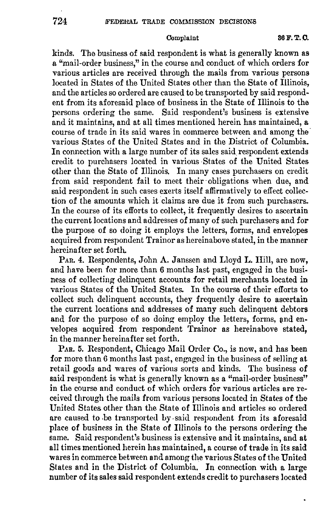kinds. The business of said respondent is what is generally known as a "mail-order business," in the course and conduct of which orders for various articles are received through the mails from various persons located in States of the United States other than the State of Illinois, and the articles so ordered are caused to be transported by said respondent from its aforesaid place of business in the State of Illinois to the persons ordering the same. Said respondent's business is extensive and it maintains, and at all times mentioned herein has maintained, a course of trade in its said wares in commerce between and among the· various States of the United States and in the District of Columbia. In connection with a large number of its sales said respondent extends credit to purchasers located in various States of the United States other than the State of Illinois. In many cases purchasers on credit from said respondent fail to meet their obligations when due, and said respondent in such cases exerts itself affirmatively to effect collection of the amounts which it claims are due it from such purchasers. In the course of its efforts to collect, it frequently desires to ascertain the current locations and addresses of many of such purchasers and for the purpose of so doing it employs the letters, forms, and envelopes acquired from respondent Trainor as hereinabove stated, in the manner hereinafter set forth.

PAR. 4. Respondents, John A. Janssen and Lloyd **L. Hill,** are now, and have been for more than 6 months last past, engaged in the business of collecting delinquent accounts for retail merchants located in various States of the United States. In the course of their efforts to collect such delinquent accounts, they frequently desire to ascertain the current locations and addresses of many such delinquent debtors and for the purpose of so doing employ the letters, forms, and envelopes acquired from respondent Trainor as hereinabove stated. in the manner hereinafter set forth.

PAR. 5. Respondent, Chicago Mail Order Co., is now, and has been for more than 6 months last past, engaged in the business of selling at retail goods and wares of various sorts and kinds. The business of said respondent is what is generally known as a "mail-order business" in the course and conduct of which orders for various articles are received through the mails from various persons located in States of the United States other than the State of Illinois and articles so ordered are caused to be transported by said respondent from its aforesaid place of business in the State of Illinois to the persons ordering the same. Said respondent's business is extensive and it maintains, and at all times mentioned herein has maintained, a course of trade in its said wares in commerce between and among the various States of the United States and in the District of Columbia. In connection with a large number of its sales said respondent extends credit to purchasers located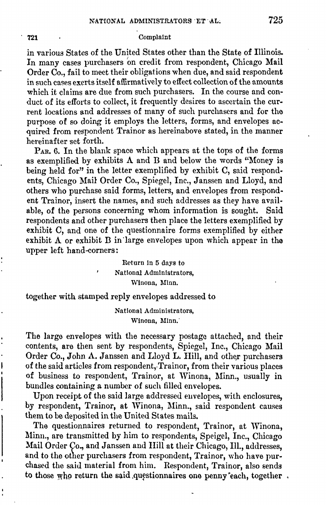#### **721** Complaint

in various States of the United States other than the State of Illinois. In many cases purchasers on credit from respondent, Chicago Mail Order Co., fail to meet their obligations when due, and said respondent in such cases exerts itself affirmatively to effect collection of the amounts which it claims are due from such purchasers. In the course and conduct of its efforts to collect, it frequently desires to ascertain the current locations and addresses of many of such purchasers and for the purpose **of** so doing it employs the letters, forms, and envelopes acquired from respondent Trainor as hereinabove stated, in the manner hereinafter set forth.

PAR. 6. In the blank space which appears at the tops of the forms as exemplified by exhibits  $\Lambda$  and  $B$  and below the words "Money is being held for" in the letter exemplified by exhibit C, said respondents, Chicago Mail Order Co., Spiegel, Inc., Janssen and Lloyd, and others who purchase said forms, letters, and envelopes from respondent Trainor, insert the names, and such addresses as they have available, of the persons concerning whom information is sought. Said respondents and other purchasers then place the letters exemplified by exhibit C, and one of the questionnaire forms exemplified by either exhibit A or exhibit D in 'large envelopes upon which appear in the upper left hand-corners:

> Return in 5 days to National Administrators, Winona, Minn.

together with stamped reply envelopes addressed to

National Administrators, Winona, Minn.<sup>\*</sup>

The large envelopes with the necessary postage attached, and their contents, are then sent by respondents, Spiegel, Inc., Chicago Mail Order Co., John A. Janssen and Lloyd L. Hill, and other purchasers of the said articles from respondent, Trainor, from their various places of business to respondent, Trainor, at Winona, Minn., usually in bundles containing a number of such filled envelopes.

Upon receipt of the said large addressed euvelopes, with enclosures, by respondent, Trainor, at Winona, Minn., said respondent causes them to be deposited in the United States mails.

The questionnaires returned to respondent, Trainor, at Winona, Minn., are transmitted by him to respondents, Speigel, Inc., Chicago Mail Order Co., and Janssen and Hill at their Chicago, Ill., addresses, and to the other purchasers from respondent, Trainor, who have purchased the said material from him. Respondent, Trainor, also sends to those who return the said questionnaires one penny 'each, together ,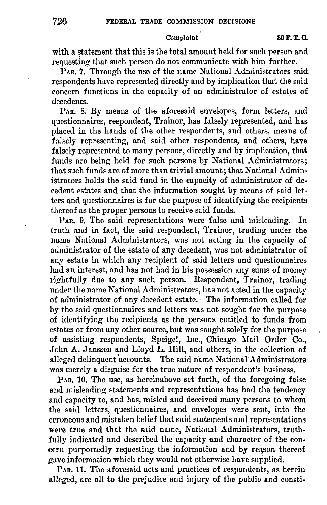Oomplaint **86 F.** T. 0.

with a statement that this is the total amount held for such person and requesting that such person do not communicate with him further.

PAR. 7. Through the use of the name National Administrators said respondents have represented directly and by implication that the said concern functions in the capacity of an administrator of estates of decedents.

PAR. 8. By means of the aforesaid envelopes, form letters, and questionnaires, respondent, Trainor, has falsely represented, and has placed in the hands of the other respondents, and others, means of falsely representing, and said other respondents, and others, have falsely represented to many persons, directly and by implication, that funds are being held for such persons by National Administrators; that such funds are of more than trivial amount; that National Administrators holds the said fund in the capacity of administrator of decedent estates and that the information sought by means of said letters and questionnaires is for the purpose of identifying the recipients thereof as the proper persons to receive said funds.

PAR. 9. The said representations were false and misleading. In truth and in fact, the said respondent, Trainor, trading under the name National Administrators, was not acting in the capacity of administrator of the estate of any decedent, was not administrator of any estate in which any recipient of said letters and questionnaires had an interest, and has not had in his possession any sums of money rightfully due to any such person. Respondent, Trainor, trading under the name National Administrators, has not acted in the capacity of administrator of any decedent estate. The information called for by the said questionnaires and letters was not sought for the purpose of identifying the recipients as the persons entitled to funds from estates or from any other source, but was sought solely for the purpose of assisting respondents, Speigel, Inc., Chicago Mail Order Co., John A. Janssen and Lloyd L. Hill, and others; in the collection of alleged delinquent accounts. The said name National Administrators · was merely a disguise for the true nature of respondent's business.

PAR. 10. The use, as hereinabove set forth, of the foregoing false and misleading statements and representations has had the tendency and capacity to, and has, misled and deceived many persons to whom the said letters, questionnaires, and envelopes were sent, into the erroneous and mistaken belief that said statements and representations were true and that the said name, National Administrators, truthfully indicated and described the capacity and character of the concern purportedly requesting the information and by reason thereof gave information which they would not otherwise have supplied.

PAR. 11. The aforesaid acts and practices of respondents, as herein alleged, are all to the prejudice and injury of the public and consti-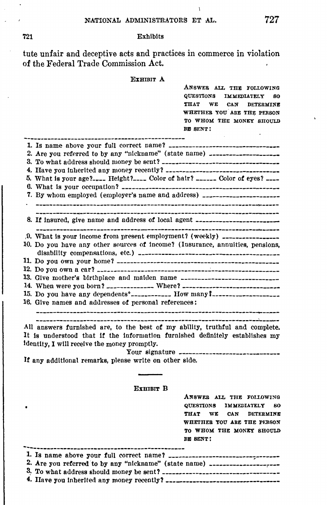#### 721 Exhibits

tute unfair and deceptive acts and practices in commerce in violation of the Federal Trade Commission Act.

# EXHIBIT **A**

QUESTIONS IMMEDIATELY SO THAT WE CAN DETERMINE WHETHER YOU ARE THE PERSON TO WHOM THE MONEY SHOULD **Bm** SENT: 1. Is name above your full correct name? --------------------------------- 2. Are you referred to by any "nickname" (state name)  $\frac{1}{2}$ 3. To what address should ruoney be sent?----------------------------------- **4.** Have you Inherited any money recently? ---------------------------------- 5. What Is your age? \_\_\_\_ Height?\_\_\_\_ Color of hair? \_\_\_\_\_\_ Color **of** eyes? \_\_\_\_ 6. What ls your occupation? ----------------------------------------------- **7.** By whom employed (employer's name and address) \_\_\_\_\_\_\_\_\_\_\_\_\_\_\_\_\_\_\_\_\_\_\_ 8. If Insured, give name and address **of** local agent ------------------------  $,0.$  What is your income from present employment? (weekly)  $_{\text{2}}$ 10. Do you have any other sources of income? (Insurance, annuities, pensions, disability compensations, etc.) ----------------------------------------- 11. Do you own your home?------------------------------------------------ 12. Do you own a car? \_\_\_\_\_\_\_\_\_\_\_\_\_\_\_\_\_\_\_\_\_\_\_\_\_\_\_\_\_\_\_\_\_\_; \_\_\_\_\_\_\_\_\_\_\_\_\_\_\_\_\_\_\_\_ 13. Give mother's birthplace and maiden name ----------------------------- 14. When were you born? ~------------- Where? ----------------------------- 15. Do you have any dependents 0 \_\_\_\_\_\_\_\_\_\_\_\_ How ruany **L------------------** 16. Give names and addresses **of** personal references: All answers furnished are, to the best of my ability, truthful and complete. It ls understood that *It* the Information furnished definitely establishes my Identity, I will receive the money promptly. Your signature -------------------------------**If** any additional remarks, plense write on other slde. **EXHIBIT B**  ANSWER ALL THE FOLLOWING QUESTIONS IMMEDIATELY SO THAT WE CAN DETERMINE WHETHER YOU ARE THE PERSON TO WHOM TIIE MONEY SHOULD Bm BENT! ------------------------------------------------ 1. Is name above your full correct name? --------------------------------- 2. .Are you referred to by any "nickname" (state name) \_\_\_\_\_\_\_\_\_\_\_\_\_: \_\_\_,.\_\_\_ 8\_. To what address should money be sent?----------------------------------- **4.** Have you Inherited any money recently?---------------------------------

ANSWER ALL THE FOLLOWING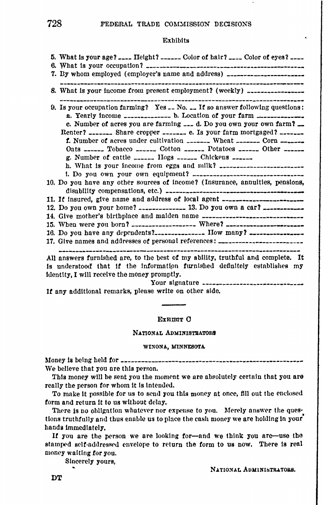# **Exhibits**

| 5. What is your age? ____ Height? ______ Color of hair? ____ Color of eyes? ____                                                                                                                                                                                                                                                                                                                                            |
|-----------------------------------------------------------------------------------------------------------------------------------------------------------------------------------------------------------------------------------------------------------------------------------------------------------------------------------------------------------------------------------------------------------------------------|
|                                                                                                                                                                                                                                                                                                                                                                                                                             |
| 7. By whom employed (employer's name and address) ______________________________                                                                                                                                                                                                                                                                                                                                            |
| --------------------------------                                                                                                                                                                                                                                                                                                                                                                                            |
| 8. What is your income from present employment? (weekly) _________________                                                                                                                                                                                                                                                                                                                                                  |
| 9. Is your occupation farming? Yes $\sim$ No. $\sim$ If so answer following questions:                                                                                                                                                                                                                                                                                                                                      |
| a. Yearly income _____________ b. Location of your farm _________________________                                                                                                                                                                                                                                                                                                                                           |
| c. Number of acres you are farming $\frac{1}{2}$ d. Do you own your own farm?                                                                                                                                                                                                                                                                                                                                               |
| Renter? _______ Share cropper _______ e. Is your farm mortgaged? _______                                                                                                                                                                                                                                                                                                                                                    |
| <b>f.</b> Number of acres under cultivation ________ Wheat _______ Corn _______                                                                                                                                                                                                                                                                                                                                             |
| Oats ______ Tobacco _______ Cotton _______ Potatoes ______ Other ______                                                                                                                                                                                                                                                                                                                                                     |
| g. Number of cattle $\overline{\phantom{a}}$ = $\overline{\phantom{a}}$ = $\overline{\phantom{a}}$ = $\overline{\phantom{a}}$ = $\overline{\phantom{a}}$ = $\overline{\phantom{a}}$ = $\overline{\phantom{a}}$ = $\overline{\phantom{a}}$ = $\overline{\phantom{a}}$ = $\overline{\phantom{a}}$ = $\overline{\phantom{a}}$ = $\overline{\phantom{a}}$ = $\overline{\phantom{a}}$ = $\overline{\phantom{a}}$ = $\overline{\$ |
|                                                                                                                                                                                                                                                                                                                                                                                                                             |
|                                                                                                                                                                                                                                                                                                                                                                                                                             |
| 10. Do you have any other sources of income? (Insurance, annuities, pensions,                                                                                                                                                                                                                                                                                                                                               |
|                                                                                                                                                                                                                                                                                                                                                                                                                             |
| 11. If insured, give name and address of local agent ___________________________                                                                                                                                                                                                                                                                                                                                            |
| 12. Do you own your home? _______________ 13. Do you own a car? ________________                                                                                                                                                                                                                                                                                                                                            |
| 14. Give mother's birthplace and maiden name ___________________________________                                                                                                                                                                                                                                                                                                                                            |
| 15. When were you born? ____________________ Where? ____________________________                                                                                                                                                                                                                                                                                                                                            |
| 16. Do you have any dependents? How many?                                                                                                                                                                                                                                                                                                                                                                                   |
| 17. Give names and addresses of personal references: ………………………………………………………………………                                                                                                                                                                                                                                                                                                                                            |
|                                                                                                                                                                                                                                                                                                                                                                                                                             |
| All answers furnished are, to the best of my ability, truthful and complete. It                                                                                                                                                                                                                                                                                                                                             |

is understood that if the information furnished definitely establishes my identity. I will receive the money promptly.

Your signature ------------------------

If any additional remarks, please write on other side.

### Exumu O

NATIONAL ADMINISTRATORS

#### WINONA, MINNESOTA

We believe that you are this person.

This money will be sent you the moment we are absolutely certain that you are really the person for whom it is intended.

To make it possible for us to send you this money at once, fill out the enclosed form and return it to us without delay.

There is no obligation whatever nor expense to you. Merely answer the questions truthfully and thus enable us to place the cash money we are holding in your hands immediately.

If you are the person we are looking for-and we think you are-use the stamped self-addressed envelope to return the form to us now. There is real money waiting for you.

Sincerely yours,

NATIONAL ADMINISTRATORS.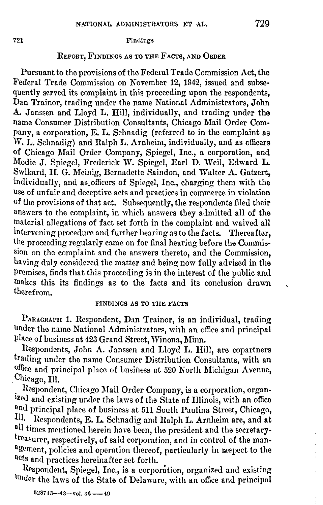# 721 **Findings**

# REPORT, FINDINGS AS TO THE FACTS, AND ORDER

Pursuant to the provisions of the Federal Trade Commission Act, the Federal Trade Commission on November 12, 1942, issued and subsequently served its complaint in this proceeding upon the respondents, Dan Trainor, trading under the name National Administrators, John A. Janssen and Lloyd L. IIill, individually, and trading under the name Consumer Distribution Consultants, Chicago Mail Order Company, a corporation, E. L. Schnadig (referred to in the complaint as W. L. Schnadig) and Ralph L. Arnheim, individually, and as officers of Chicago Mail Order Company, Spiegel, Inc., a corporation, and Modie J. Spiegel, Frederick W. Spiegel, Earl D. Weil, Edward L. Swikard, H. G. Meinig, Bernadette Saindon, and Walter A. Gatzert, individually, and as.officers of Spiegel, Inc., charging them with the Use of unfair and deceptive acts and practices in commerce in violation of the provisions of that act. Subsequently, the respondents filed their answers to the complaint, in which answers they admitted all of the material allegations of fact set forth in the complaint and waived all intervening procedure and further hearing as to the facts. Thereafter, the proceeding regularly came on for final hearing before the Commission on the complaint and the answers thereto, and the Commission, having duly considered the matter and being now fully advised in the Premises, finds that this proceeding is in the interest of the public and rnakes this its findings as to the facts and its conclusion drawn therefrom.

# FINDINGS AS TO TIIE FACTS

PARAGRAPH 1. Respondent, Dan Trainor, is an individual, trading under the name National Administrators, with an office and principal Place of business at 423 Grand Street, Winona, Minn.

Respondents, John A. Janssen and Lloyd L. Hill, are copartners trading under the name Consumer Distribution Consultants, with an office and principal place of business at 520 North Michigan Avenue, . Chicago, Ill.

Respondent, Chicago Mail Order Company, is a corporation, organized and existing under the laws of the State of Illinois, with an office and principal place of business at 511 South Paulina Street, Chicago, Ill. Respondents, E. L. Schnadig and Ralph L. Arnheim are, and at all times mentioned herein have been, the president and the secretarytreasurer, respectively, of said corporation, and in control of the management, policies and operation thereof, particularly in respect to the acts and practices hereinafter set forth.

Respondent, Spiegel, Inc., is a corporation, organized and existing under the laws of the State of Delaware, with an office and principal

 $528713 - -43 -$ vol.  $36 - -49$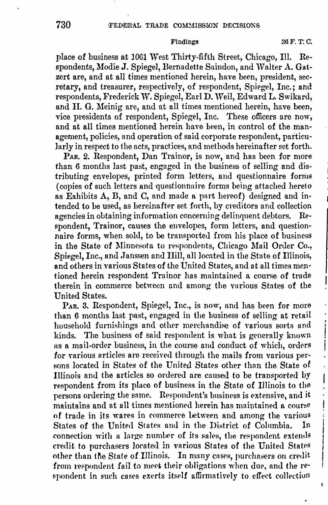place of business at 1061 West Thirty-fifth Street, Chicago, Ill. Respondents, Modie **J.** Spiegel, Bernadette Saindon, and Walter A. Gatzert are, and at all times mentioned herein, have been, president, secretary, and treasurer, respectively, of respondent, Spiegel, Inc.; and respondents, Frederick **W.** Spiegel, Earl **D.** \Veil, Edward **L.** Swikard, and **JI.** G. Meinig are, and at all times mentioned herein, have been, vice presidents of respondent, Spiegel, Inc. These officers are now, and at all times mentioned herein have been, in control of the management, policies, and operation of said corporate respondent, particularly in respect to the acts, practices, and methods hereinafter set forth.

PAR. 2. Respondent, Dan Trainor, is now, and has been for more than 6 months last past, engaged in the business of selling and distributing envelopes, printed form letters, and questionnaire forms ( copies of such letters and questionnaire forms being attached hereto as Exhibits A, B, and C, and made a part hereof) designed and intended to be used, as hereinafter set forth, by creditors and collection agencies in obtaining information concerning delinquent debtors. Respondent, Trainor, causes the envelopes, form letters, and questionnaire forms, when sold, to be transported from his place of business in the State of Minnesota to respondents, Chicago Mail Order Co., Spiegel, Inc., and Janssen and Hill, all located in the State of Illinois, and others in various States of the United States, and at all times men· tioned herein respondent Trainor has maintained a course of trade therein in commerce between and among the various States of the United States.

PAR. 3. Respondent, Spiegel, Inc., is now, and has been for more than 6 months last past, engaged in the business of selling at retail household furnishings and other merchandise of various sorts and kinds. The business of said respondent is what is generally known as a mail-order business, in the course nnd conduct of which, orders for various articles are received through the mails from various persons located in States of the United States other than the State of Illinois and the articles so ordered are caused to be transported by respondent from its place of business in the State of Illinois to the persons ordering the same. Respondent's business is extensive, and it maintains and at all times mentioned herein has maintained a course of trade in its wares in commerce between and among the various States of the United States and in the District of Columbia. In connection with a large number of its sales, the respondent extends credit to purchasers located in vnrious States of the United Statrs other than the State of Illinois. In many cases, purchasers on credit from respondent fail to meet their obligations when due, and the respondent in such cases exerts itself affirmatively to effect collection

ł

į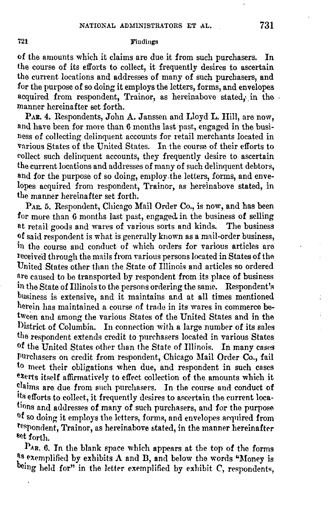# **721** Findings

of the amounts which it claims are due it from such purchasers. In the course of its efforts to collect, it frequently desires to ascertain the current locations and addresses of many of such purchasers, and for the purpose of so doing it employs the letters, forms, and envelopes acquired from respondent. Trainor, as hereinabove stated, in the manner hereinafter set forth.

**PAR.** 4. Respondents, John A. Janssen and Lloyd **L. Hill,** are now, and have been for more than 6 months last past, engaged in the business of collecting delinquent accounts for retail merchants located in various States of the United States. In the course of their efforts to collect such delinquent accounts, they frequently desire to ascertain the current locations and addresses of many of such delinquent debtors, and for the purpose of so doing, employ the letters, forms, and envelopes acquired from respondent, Trainor, as hereinabove stated, in the manner hereinafter set forth.

PAR 5. Respondent, Chicago Mail Order Co., is now, and has been for more than 6 months last past, engaged in the business of selling at retail goods and wares of various sorts and kinds. The business **of** said respondent is what is generally known as a mnil-order business, in the course and conduct of which orders for various articles are leceived through the mails from various persons located in States of the United States other than the State of Illinois and articles so ordered nre caused to be transported by respondent from its place **of** business in the State of Illinois to the persons ordering the same.. Respondent's business is extensive, and it maintains and at all times mentioned herein has maintained a course of trade in its wares in commerce between and among the various States of the United States and in the District of Columbia. In connection with a large number of its sales the respondent extends credit to purchasers located in various States of the United States other than the State of Illinois. In many cases Purchasers on credit from respondent, Chicago Mail Order Co., fail to meet their obligations when due, and respondent in such cases exerts itself affirmatively to effect collection of the amounts which it claims are due from such purchasers. In the course and conduct of its efforts to collect, it frequently desires to ascertain the current locations and addresses of many of such purchasers, and for the purpose of so doing it employs the letters, forms, and envelopes acquired from tespondent. Trainor, as hereinabove stated, in the manner hereinafter **set forth.** 

 $P_{AR.}$  6. In the blank space which appears at the top of the forms as exemplified by exhibits  $\Lambda$  and  $B$ , and below the words "Money is being held for" in the letter exemplified by exhibit C, respondents,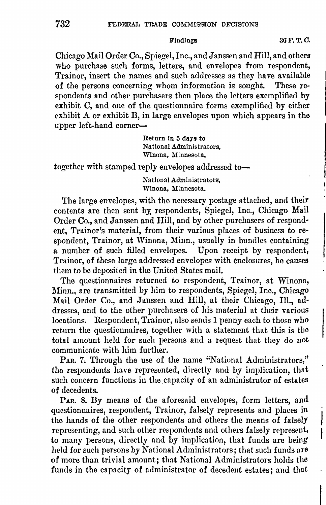Chicago Mail Order Co., Spiegel, Inc., and Janssen and Hill, and others who purchase such forms, letters, and envelopes from respondent, Trainor, insert the names and such addresses as they have available of the persons concerning whom information is sought. These respondents and other purchasers then place the letters exemplified by exhibit C, and one of the questionnaire forms exemplified by either exhibit A or exhibit B, in large envelopes upon which appears in the upper left-hand corner-

> Return ln 5 days to National Administrators, Winona, Minnesota,

together with stamped reply envelopes addressed to-

National Administrators, Winona, Minnesota.

The large envelopes, with the necessary postage attached, and their contents are then sent bY. respondents, Spiegel, Inc., Chicago **Mail**  Order Co., and Janssen and **Hill,** and by other purchasers of respondent, Trainor's material, from their various places of business to respondent, Trainor, at Winona, Minn., usually in bundles containing a number of such filled envelopes. Upon receipt by respondent, Trainor, of these large addressed envelopes with enclosures, he causes them to be deposited in the United States mail.

The questionnaires returned to respondent, Trainor, at Winona, Minn., are transmitted by him to respondents, Spiegel, Inc., Chicago Mail Order Co., and Janssen and Hill, at their Chicago, Ill., addresses, and to the other purchasers of his material at their various locations. Respondent, Trainor, also sends 1 penny each to those who return the questionnaires, together with a statement that this is the total amount held for such persons and a request that they do not communicate with him further,

PAR. 7. Through the use of the name "National Administrators," the respondents have represented, directly and by implication, thnt such concern functions in the capacity of an administrator of estates of decedents.

PAR. 8. Dy means of the aforesaid envelopes, form letters, and questionnaires, respondent, Trainor, falsely represents and places in the hands of the other respondents and others the means of falsely representing, and such other respondents and others falsely represent, to many persons, directly and by implication, that funds are being held for such persons by National Administrators; that such funds are of more than trivial amount; that National Administrators holds the funds in the capacity of administrator of decedent estates; and that

Findings 36 F.T.O.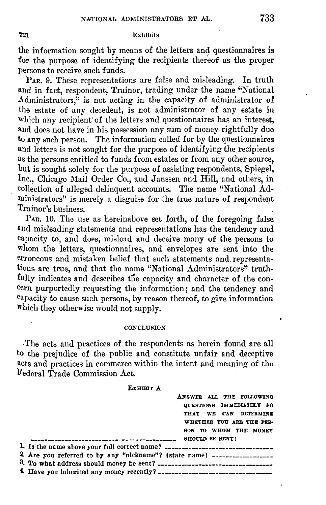# 'f21 Exhibits

the information sought by means of the letters and questionnaires is for the purpose of identifying the recipients thereof as the proper persons to receive such funds.

PAR. 9. These representations are false and misleading. In truth and in fact, respondent, Trainor, trading under the name "National Administrators, $\ddot{r}$  is not acting in the capacity of administrator of the estate of any decedent, is not administrator of any estate in which any recipient of the letters and questionnaires has an interest. and does not have in his possession any sum of money rightfully due to any such person. The information called for by the questionnaires and letters is not sought for the purpose of identifying the recipients as the persons entitled to funds from estates or from any other source, but is sought solely for the purpose of assisting respondents, Spiegel, Inc., Chicago Mail Order Co., and Janssen and Hill, and others, in collection of alleged delinquent accounts. The name "National Administrators" is merely a disguise for the true nature of respondent Trainor's business.

PAR. 10. The use as hereinabove set forth, of the foregoing false and misleading statements and representations has the tendency and capacity to, and does, mislead and deceive many of the persons to Whom the letters, questionnaires, and envelopes are sent into the erroneous and mistaken belief that such statements and. representations are true, and that the name "National Administrators" truthfully indicates and describes the capacity and character of the concern purportedly requesting the information; and the tendency and capacity to cause such persons, by reason thereof, to give information Which they otherwise would not.supply.

#### **CONCLUSION**

.The acts and practices of the respondents as herein found are all to the prejudice of the public and constitute unfair and deceptive acts and practices **in** commerce within the intent and meaning of the Federal Trade Commission Act.

**EXHIBIT A** 

|                                                                                  | ANSWER ALL THE FOLLOWING |  |                          |  |
|----------------------------------------------------------------------------------|--------------------------|--|--------------------------|--|
|                                                                                  | OUESTIONS IMMEDIATELY SO |  |                          |  |
|                                                                                  | THAT WE CAN DETERMINE    |  |                          |  |
|                                                                                  |                          |  | WHETHER YOU ARE THE PER- |  |
|                                                                                  |                          |  | SON TO WHOM THE MONEY    |  |
|                                                                                  |                          |  |                          |  |
| 1. Is the name above your full correct name? ___________________________________ |                          |  |                          |  |
| 2. Are you referred to by any "nickname"? (state name) -------------------       |                          |  |                          |  |
|                                                                                  |                          |  |                          |  |
|                                                                                  |                          |  |                          |  |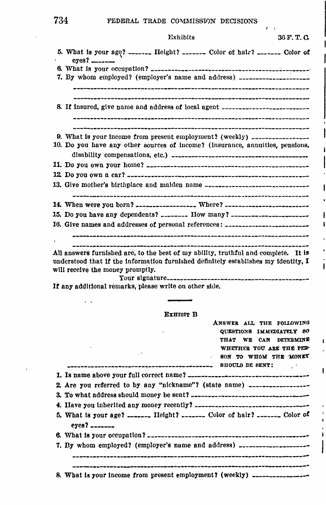# 734 FEDERAL TRADE COMMISSION DECISIONS

| Exhibits                                                                                      | 36 F.T.Q |
|-----------------------------------------------------------------------------------------------|----------|
| 5. What is your age? ------- Height? ------- Color of hair? ------- Color of<br>$eyes?$ _____ |          |
|                                                                                               |          |
| 7. By whom employed? (employer's name and address) ____________________                       |          |
| 8. If insured, give name and address of local agent ____________________________              |          |
| 9. What is your income from present employment? (weekly) $\ldots$                             |          |
| 10. Do you have any other sources of income? (insurance, annuities, pensions,                 |          |
|                                                                                               |          |
|                                                                                               |          |
| 13. Give mother's birthplace and maiden name ----------------------------------               |          |
| 14. When were you born? _________________ Where? _______________________________              |          |
| 15. Do you have any dependents?  How many?                                                    |          |
| 16. Give names and addresses of personal references: __________________________               |          |
|                                                                                               |          |

**All** answers furnished are, to the best **of** my ablllty, truthful and complete. It ls understood that **ff** the information furnished definitely establishes my identity, I will receive the money promptly. Your signature\_\_\_\_\_\_\_\_\_\_\_\_\_\_\_\_\_\_\_\_\_\_\_\_\_\_\_\_\_\_\_\_\_\_\_\_\_\_\_\_\_\_

Ì

If any additional remarks, please write on other side.

#### EXHIBIT B

| ANSWER ALL THE FOLLOWING<br>QUESTIONS IMMEDIATELY 80<br>THAT WE CAN DETERMINE<br>WHETHER YOU ARE THE PER |
|----------------------------------------------------------------------------------------------------------|
| <b>Contract</b><br>SON TO WHOM THE MONEY                                                                 |
| <b>Contract Contract</b>                                                                                 |
|                                                                                                          |
| 2. Are you referred to by any "nickname"? (state name) $\ldots$                                          |
|                                                                                                          |
|                                                                                                          |
| 5. What is your age? _______ Height? _______ Color of hair? _______ Color of<br>$exes?$ $---$            |
|                                                                                                          |
| 7. By whom employed? (employer's name and address) --------------------                                  |
|                                                                                                          |
| 8. What is your income from present employment? (weekly) ________________                                |

 $\overline{1}$ 

 $\epsilon$  .  $\epsilon$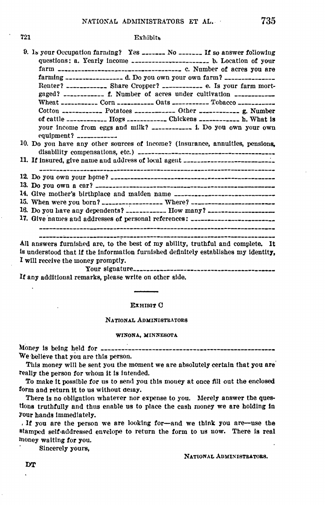721

#### **Exhibits**

| 9. Is your Occupation farming? Yes _______ No _______ If so answer following<br>questions: a. Yearly income _______________________ b. Location of your                                                                                                                                                                                                                        |
|--------------------------------------------------------------------------------------------------------------------------------------------------------------------------------------------------------------------------------------------------------------------------------------------------------------------------------------------------------------------------------|
|                                                                                                                                                                                                                                                                                                                                                                                |
|                                                                                                                                                                                                                                                                                                                                                                                |
| Renter? _____________ Share Cropper? ______________ e. Is your farm mort-                                                                                                                                                                                                                                                                                                      |
|                                                                                                                                                                                                                                                                                                                                                                                |
|                                                                                                                                                                                                                                                                                                                                                                                |
| Cotton $\overline{a}$ $\overline{a}$ $\overline{a}$ $\overline{a}$ $\overline{a}$ $\overline{a}$ $\overline{a}$ $\overline{a}$ $\overline{a}$ $\overline{a}$ $\overline{a}$ $\overline{a}$ $\overline{a}$ $\overline{a}$ $\overline{a}$ $\overline{a}$ $\overline{a}$ $\overline{a}$ $\overline{a}$ $\overline{a}$ $\overline{a}$ $\overline{a}$ $\overline{a}$ $\overline{a}$ |
| of cattle ------------ Hogs ------------ Chickens ------------ h. What is                                                                                                                                                                                                                                                                                                      |
|                                                                                                                                                                                                                                                                                                                                                                                |
| your income from eggs and milk? _____________ i. Do you own your own                                                                                                                                                                                                                                                                                                           |
| equipment? $\frac{1}{2}$                                                                                                                                                                                                                                                                                                                                                       |
| 10. Do you have any other sources of income? (insurance, annuities, pensions,                                                                                                                                                                                                                                                                                                  |
|                                                                                                                                                                                                                                                                                                                                                                                |
| 11. If insured, give name and address of local agent ___________________________                                                                                                                                                                                                                                                                                               |
|                                                                                                                                                                                                                                                                                                                                                                                |
|                                                                                                                                                                                                                                                                                                                                                                                |
|                                                                                                                                                                                                                                                                                                                                                                                |
| 14. Give mother's birthplace and maiden name ___________________________________                                                                                                                                                                                                                                                                                               |
| 15. When were you born? ___________________ Where? _____________________________                                                                                                                                                                                                                                                                                               |
| 16. Do you have any dependents? ___________ How many? ___________________________                                                                                                                                                                                                                                                                                              |
| 17. Give names and addresses of personal references: ___________________________                                                                                                                                                                                                                                                                                               |
|                                                                                                                                                                                                                                                                                                                                                                                |
|                                                                                                                                                                                                                                                                                                                                                                                |

All answers furnished are, to the best of my ability, truthful and complete. It is understood that if the information furnished definitely establishes my identity. I will receive the money promptly.

If any additional remarks, please write on other side.

#### **EXHIBIT C**

#### NATIONAL ADMINISTRATORS

#### WINONA, MINNESOTA

We believe that you are this person.

This money will be sent you the moment we are absolutely certain that you are really the person for whom it is intended.

To make it possible for us to send you this money at once fill out the enclosed form and return it to us without delay.

There is no obligation whatever nor expense to you. Merely answer the questions truthfully and thus enable us to place the cash money we are holding in your hands immediately.

If you are the person we are looking for-and we think you are-use the stamped self-addressed envelope to return the form to us now. There is real money waiting for you.

Sincerely yours,

NATIONAL ADMINISTRATORS.

DT

 $\overline{a}$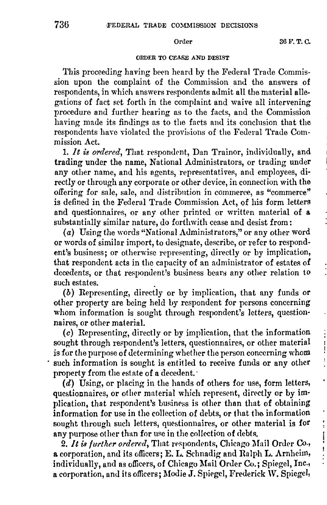$\frac{1}{2}$ ļ ļ

# ORDER TO CEASE AND DESIST

This proceeding having been heard by the Federal Trade Commission upon the complaint of the Commission and the answers of respondents, in which answers respondents admit all the material allegations of fact set forth in the complaint and waive all intervening procedure and further hearing as to the facts, and the Commission having made its findings as to the facts and its conclusion that the respondents have violated the provisions of the Federal Trade Commission Act.

1. It is ordered, That respondent, Dan Trainor, individually, and trading under the name, National Administrators, or trading under any other name, and his agents, representatives, and employees, directly or through any corporate or other device, in connection with the offering for sale, sale, and distribntion in commerce, as "commerce" is defined in the Federal Trade Commission Act, of his form letters and questionnaires, or any other printed or written material **of a**  substantially similar nature, do forthwith cease and desist from:

(a) Using the words "National Administrators," or any other word or words of similar import, to designate, describe, or refer to respondent's business; or otherwise representing, directly or by implication, that respondent acts in the capacity of an administrator of estates of decedents, or that respondent's business bears any other relation to such estates.

(b) Representing, directly or by implication, that any funds or other property are being held by respondent for persons concerning whom information is sought through respondent's letters, questionnaires, or other material.

(c) Representing, directly or by implication, that the information sought through respondent's letters, questionnaires, or other material is for the purpose of determining whether the person concerning whom · such information is sought is entitled to receive funds or any other property from the estate of a decedent.

(d) Using, or placing in the hands of others for use, form letters, questionnaires, or other material which represent, directly or by implication, that respondent's business is other than that of obtaining information for use in tho co1lection of debts, or that the information sought through such letters, questionnaires, or other material is for any purpose other than for use in the collection of debts.

2. It is further ordered, That respondents, Chicago Mail Order Co., a corporation, and its officers; E. L. Schnadig and Ralph L. Arnheim, individually, and as officers, of Chicago Mail Order Co.; Spiegel, Inc., a corporation, and its officers; Modie J. Spiegel, Frederick W. Spiegel,